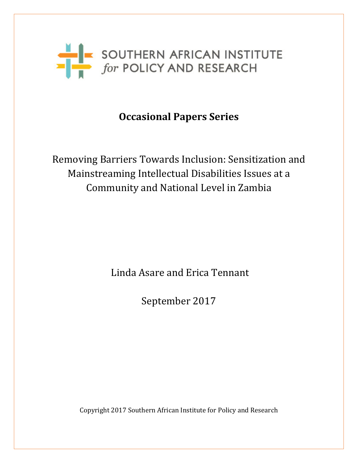

# **Occasional Papers Series**

Removing Barriers Towards Inclusion: Sensitization and Mainstreaming Intellectual Disabilities Issues at a Community and National Level in Zambia

Linda Asare and Erica Tennant

September 2017

Copyright 2017 Southern African Institute for Policy and Research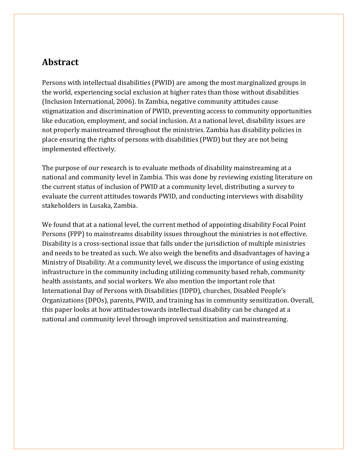# **Abstract**

Persons with intellectual disabilities (PWID) are among the most marginalized groups in the world, experiencing social exclusion at higher rates than those without disabilities (Inclusion International, 2006). In Zambia, negative community attitudes cause stigmatization and discrimination of PWID, preventing access to community opportunities like education, employment, and social inclusion. At a national level, disability issues are not properly mainstreamed throughout the ministries. Zambia has disability policies in place ensuring the rights of persons with disabilities (PWD) but they are not being implemented effectively.

The purpose of our research is to evaluate methods of disability mainstreaming at a national and community level in Zambia. This was done by reviewing existing literature on the current status of inclusion of PWID at a community level, distributing a survey to evaluate the current attitudes towards PWID, and conducting interviews with disability stakeholders in Lusaka, Zambia.

We found that at a national level, the current method of appointing disability Focal Point Persons (FPP) to mainstreams disability issues throughout the ministries is not effective. Disability is a cross-sectional issue that falls under the jurisdiction of multiple ministries and needs to be treated as such. We also weigh the benefits and disadvantages of having a Ministry of Disability. At a community level, we discuss the importance of using existing infrastructure in the community including utilizing community based rehab, community health assistants, and social workers. We also mention the important role that International Day of Persons with Disabilities (IDPD), churches, Disabled People's Organizations (DPOs), parents, PWID, and training has in community sensitization. Overall, this paper looks at how attitudes towards intellectual disability can be changed at a national and community level through improved sensitization and mainstreaming.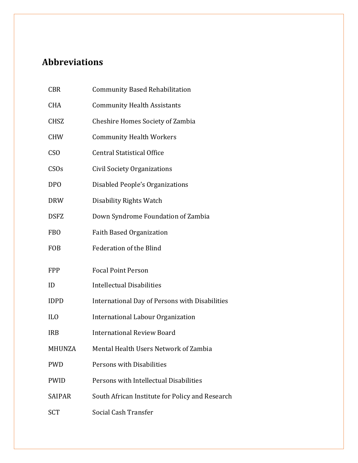# **Abbreviations**

| <b>CBR</b>       | <b>Community Based Rehabilitation</b>                 |
|------------------|-------------------------------------------------------|
| <b>CHA</b>       | <b>Community Health Assistants</b>                    |
| <b>CHSZ</b>      | <b>Cheshire Homes Society of Zambia</b>               |
| <b>CHW</b>       | <b>Community Health Workers</b>                       |
| C <sub>S</sub> O | <b>Central Statistical Office</b>                     |
| <b>CSOs</b>      | <b>Civil Society Organizations</b>                    |
| <b>DPO</b>       | <b>Disabled People's Organizations</b>                |
| <b>DRW</b>       | Disability Rights Watch                               |
| <b>DSFZ</b>      | Down Syndrome Foundation of Zambia                    |
| <b>FBO</b>       | <b>Faith Based Organization</b>                       |
|                  |                                                       |
| <b>FOB</b>       | <b>Federation of the Blind</b>                        |
| <b>FPP</b>       | <b>Focal Point Person</b>                             |
| ID               | <b>Intellectual Disabilities</b>                      |
| <b>IDPD</b>      | <b>International Day of Persons with Disabilities</b> |
| IL <sub>0</sub>  | <b>International Labour Organization</b>              |
| <b>IRB</b>       | <b>International Review Board</b>                     |
| MHUNZA           | Mental Health Users Network of Zambia                 |
| <b>PWD</b>       | Persons with Disabilities                             |
| <b>PWID</b>      | Persons with Intellectual Disabilities                |
| SAIPAR           | South African Institute for Policy and Research       |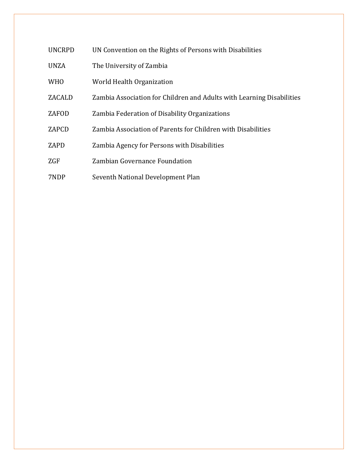| <b>UNCRPD</b> | UN Convention on the Rights of Persons with Disabilities              |
|---------------|-----------------------------------------------------------------------|
| <b>UNZA</b>   | The University of Zambia                                              |
| <b>WHO</b>    | World Health Organization                                             |
| ZACALD        | Zambia Association for Children and Adults with Learning Disabilities |
| ZAFOD         | Zambia Federation of Disability Organizations                         |
| ZAPCD         | Zambia Association of Parents for Children with Disabilities          |
| ZAPD          | Zambia Agency for Persons with Disabilities                           |
| ZGF           | Zambian Governance Foundation                                         |
| 7NDP          | Seventh National Development Plan                                     |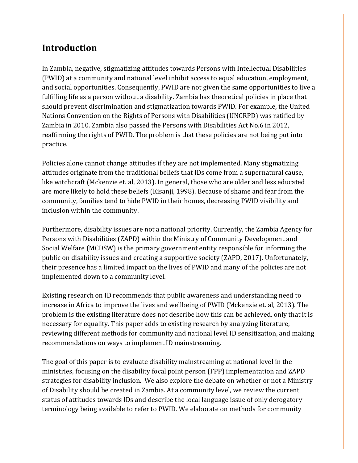# **Introduction**

In Zambia, negative, stigmatizing attitudes towards Persons with Intellectual Disabilities (PWID) at a community and national level inhibit access to equal education, employment, and social opportunities. Consequently, PWID are not given the same opportunities to live a fulfilling life as a person without a disability. Zambia has theoretical policies in place that should prevent discrimination and stigmatization towards PWID. For example, the United Nations Convention on the Rights of Persons with Disabilities (UNCRPD) was ratified by Zambia in 2010. Zambia also passed the Persons with Disabilities Act No.6 in 2012, reaffirming the rights of PWID. The problem is that these policies are not being put into practice.

Policies alone cannot change attitudes if they are not implemented. Many stigmatizing attitudes originate from the traditional beliefs that IDs come from a supernatural cause, like witchcraft (Mckenzie et. al, 2013). In general, those who are older and less educated are more likely to hold these beliefs (Kisanji, 1998). Because of shame and fear from the community, families tend to hide PWID in their homes, decreasing PWID visibility and inclusion within the community.

Furthermore, disability issues are not a national priority. Currently, the Zambia Agency for Persons with Disabilities (ZAPD) within the Ministry of Community Development and Social Welfare (MCDSW) is the primary government entity responsible for informing the public on disability issues and creating a supportive society (ZAPD, 2017). Unfortunately, their presence has a limited impact on the lives of PWID and many of the policies are not implemented down to a community level.

Existing research on ID recommends that public awareness and understanding need to increase in Africa to improve the lives and wellbeing of PWID (Mckenzie et. al, 2013). The problem is the existing literature does not describe how this can be achieved, only that it is necessary for equality. This paper adds to existing research by analyzing literature, reviewing different methods for community and national level ID sensitization, and making recommendations on ways to implement ID mainstreaming.

The goal of this paper is to evaluate disability mainstreaming at national level in the ministries, focusing on the disability focal point person (FPP) implementation and ZAPD strategies for disability inclusion. We also explore the debate on whether or not a Ministry of Disability should be created in Zambia. At a community level, we review the current status of attitudes towards IDs and describe the local language issue of only derogatory terminology being available to refer to PWID. We elaborate on methods for community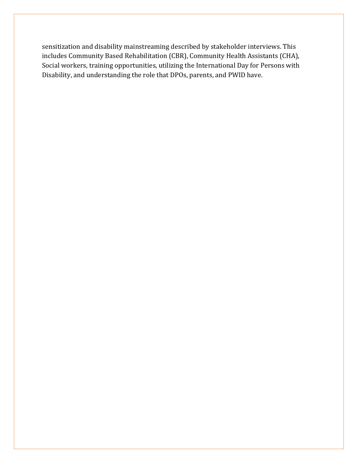sensitization and disability mainstreaming described by stakeholder interviews. This includes Community Based Rehabilitation (CBR), Community Health Assistants (CHA), Social workers, training opportunities, utilizing the International Day for Persons with Disability, and understanding the role that DPOs, parents, and PWID have.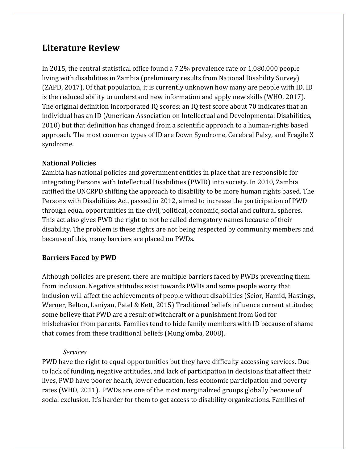# **Literature Review**

In 2015, the central statistical office found a 7.2% prevalence rate or 1,080,000 people living with disabilities in Zambia (preliminary results from National Disability Survey) (ZAPD, 2017). Of that population, it is currently unknown how many are people with ID. ID is the reduced ability to understand new information and apply new skills (WHO, 2017). The original definition incorporated IQ scores; an IQ test score about 70 indicates that an individual has an ID (American Association on Intellectual and Developmental Disabilities, 2010) but that definition has changed from a scientific approach to a human-rights based approach. The most common types of ID are Down Syndrome, Cerebral Palsy, and Fragile X syndrome.

## **National Policies**

Zambia has national policies and government entities in place that are responsible for integrating Persons with Intellectual Disabilities (PWID) into society. In 2010, Zambia ratified the UNCRPD shifting the approach to disability to be more human rights based. The Persons with Disabilities Act, passed in 2012, aimed to increase the participation of PWD through equal opportunities in the civil, political, economic, social and cultural spheres. This act also gives PWD the right to not be called derogatory names because of their disability. The problem is these rights are not being respected by community members and because of this, many barriers are placed on PWDs.

## **Barriers Faced by PWD**

Although policies are present, there are multiple barriers faced by PWDs preventing them from inclusion. Negative attitudes exist towards PWDs and some people worry that inclusion will affect the achievements of people without disabilities (Scior, Hamid, Hastings, Werner, Belton, Laniyan, Patel & Kett, 2015) Traditional beliefs influence current attitudes; some believe that PWD are a result of witchcraft or a punishment from God for misbehavior from parents. Families tend to hide family members with ID because of shame that comes from these traditional beliefs (Mung'omba, 2008).

## *Services*

PWD have the right to equal opportunities but they have difficulty accessing services. Due to lack of funding, negative attitudes, and lack of participation in decisions that affect their lives, PWD have poorer health, lower education, less economic participation and poverty rates (WHO, 2011). PWDs are one of the most marginalized groups globally because of social exclusion. It's harder for them to get access to disability organizations. Families of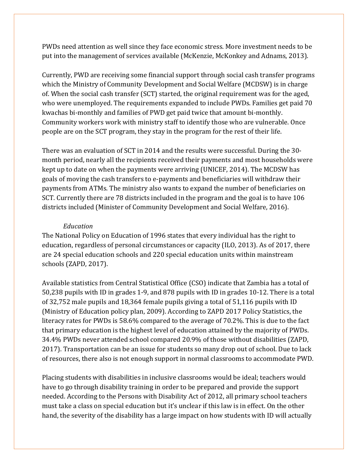PWDs need attention as well since they face economic stress. More investment needs to be put into the management of services available (McKenzie, McKonkey and Adnams, 2013).

Currently, PWD are receiving some financial support through social cash transfer programs which the Ministry of Community Development and Social Welfare (MCDSW) is in charge of. When the social cash transfer (SCT) started, the original requirement was for the aged, who were unemployed. The requirements expanded to include PWDs. Families get paid 70 kwachas bi-monthly and families of PWD get paid twice that amount bi-monthly. Community workers work with ministry staff to identify those who are vulnerable. Once people are on the SCT program, they stay in the program for the rest of their life.

There was an evaluation of SCT in 2014 and the results were successful. During the 30 month period, nearly all the recipients received their payments and most households were kept up to date on when the payments were arriving (UNICEF, 2014). The MCDSW has goals of moving the cash transfers to e-payments and beneficiaries will withdraw their payments from ATMs. The ministry also wants to expand the number of beneficiaries on SCT. Currently there are 78 districts included in the program and the goal is to have 106 districts included (Minister of Community Development and Social Welfare, 2016).

#### *Education*

The National Policy on Education of 1996 states that every individual has the right to education, regardless of personal circumstances or capacity (ILO, 2013). As of 2017, there are 24 special education schools and 220 special education units within mainstream schools (ZAPD, 2017).

Available statistics from Central Statistical Office (CSO) indicate that Zambia has a total of 50,238 pupils with ID in grades 1-9, and 878 pupils with ID in grades 10-12. There is a total of 32,752 male pupils and 18,364 female pupils giving a total of 51,116 pupils with ID (Ministry of Education policy plan, 2009). According to ZAPD 2017 Policy Statistics, the literacy rates for PWDs is 58.6% compared to the average of 70.2%. This is due to the fact that primary education is the highest level of education attained by the majority of PWDs. 34.4% PWDs never attended school compared 20.9% of those without disabilities (ZAPD, 2017). Transportation can be an issue for students so many drop out of school. Due to lack of resources, there also is not enough support in normal classrooms to accommodate PWD.

Placing students with disabilities in inclusive classrooms would be ideal; teachers would have to go through disability training in order to be prepared and provide the support needed. According to the Persons with Disability Act of 2012, all primary school teachers must take a class on special education but it's unclear if this law is in effect. On the other hand, the severity of the disability has a large impact on how students with ID will actually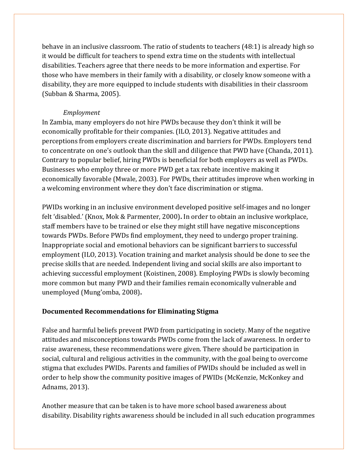behave in an inclusive classroom. The ratio of students to teachers (48:1) is already high so it would be difficult for teachers to spend extra time on the students with intellectual disabilities. Teachers agree that there needs to be more information and expertise. For those who have members in their family with a disability, or closely know someone with a disability, they are more equipped to include students with disabilities in their classroom (Subban & Sharma, 2005).

### *Employment*

In Zambia, many employers do not hire PWDs because they don't think it will be economically profitable for their companies. (ILO, 2013). Negative attitudes and perceptions from employers create discrimination and barriers for PWDs. Employers tend to concentrate on one's outlook than the skill and diligence that PWD have (Chanda, 2011). Contrary to popular belief, hiring PWDs is beneficial for both employers as well as PWDs. Businesses who employ three or more PWD get a tax rebate incentive making it economically favorable (Mwale, 2003). For PWDs, their attitudes improve when working in a welcoming environment where they don't face discrimination or stigma.

PWIDs working in an inclusive environment developed positive self-images and no longer felt 'disabled.' (Knox, Mok & Parmenter, 2000)**.** In order to obtain an inclusive workplace, staff members have to be trained or else they might still have negative misconceptions towards PWDs. Before PWDs find employment, they need to undergo proper training. Inappropriate social and emotional behaviors can be significant barriers to successful employment (ILO, 2013). Vocation training and market analysis should be done to see the precise skills that are needed. Independent living and social skills are also important to achieving successful employment (Koistinen, 2008). Employing PWDs is slowly becoming more common but many PWD and their families remain economically vulnerable and unemployed (Mung'omba, 2008)**.** 

## **Documented Recommendations for Eliminating Stigma**

False and harmful beliefs prevent PWD from participating in society. Many of the negative attitudes and misconceptions towards PWDs come from the lack of awareness. In order to raise awareness, these recommendations were given. There should be participation in social, cultural and religious activities in the community, with the goal being to overcome stigma that excludes PWIDs. Parents and families of PWIDs should be included as well in order to help show the community positive images of PWIDs (McKenzie, McKonkey and Adnams, 2013).

Another measure that can be taken is to have more school based awareness about disability. Disability rights awareness should be included in all such education programmes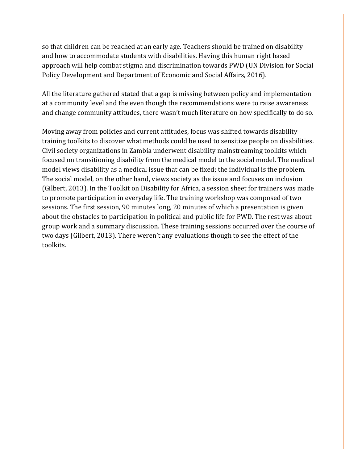so that children can be reached at an early age. Teachers should be trained on disability and how to accommodate students with disabilities. Having this human right based approach will help combat stigma and discrimination towards PWD (UN Division for Social Policy Development and Department of Economic and Social Affairs, 2016).

All the literature gathered stated that a gap is missing between policy and implementation at a community level and the even though the recommendations were to raise awareness and change community attitudes, there wasn't much literature on how specifically to do so.

Moving away from policies and current attitudes, focus was shifted towards disability training toolkits to discover what methods could be used to sensitize people on disabilities. Civil society organizations in Zambia underwent disability mainstreaming toolkits which focused on transitioning disability from the medical model to the social model. The medical model views disability as a medical issue that can be fixed; the individual is the problem. The social model, on the other hand, views society as the issue and focuses on inclusion (Gilbert, 2013). In the Toolkit on Disability for Africa, a session sheet for trainers was made to promote participation in everyday life. The training workshop was composed of two sessions. The first session, 90 minutes long, 20 minutes of which a presentation is given about the obstacles to participation in political and public life for PWD. The rest was about group work and a summary discussion. These training sessions occurred over the course of two days (Gilbert, 2013). There weren't any evaluations though to see the effect of the toolkits.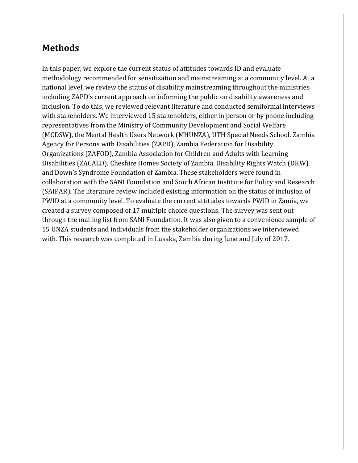# **Methods**

In this paper, we explore the current status of attitudes towards ID and evaluate methodology recommended for sensitization and mainstreaming at a community level. At a national level, we review the status of disability mainstreaming throughout the ministries including ZAPD's current approach on informing the public on disability awareness and inclusion. To do this, we reviewed relevant literature and conducted semiformal interviews with stakeholders. We interviewed 15 stakeholders, either in person or by phone including representatives from the Ministry of Community Development and Social Welfare (MCDSW), the Mental Health Users Network (MHUNZA), UTH Special Needs School, Zambia Agency for Persons with Disabilities (ZAPD), Zambia Federation for Disability Organizations (ZAFOD), Zambia Association for Children and Adults with Learning Disabilities (ZACALD), Cheshire Homes Society of Zambia, Disability Rights Watch (DRW), and Down's Syndrome Foundation of Zambia. These stakeholders were found in collaboration with the SANI Foundation and South African Institute for Policy and Research (SAIPAR). The literature review included existing information on the status of inclusion of PWID at a community level. To evaluate the current attitudes towards PWID in Zamia, we created a survey composed of 17 multiple choice questions. The survey was sent out through the mailing list from SANI Foundation. It was also given to a convenience sample of 15 UNZA students and individuals from the stakeholder organizations we interviewed with. This research was completed in Lusaka, Zambia during June and July of 2017.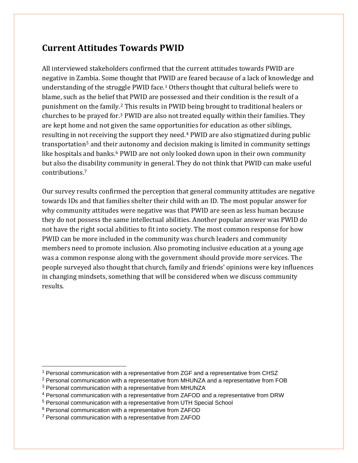# **Current Attitudes Towards PWID**

All interviewed stakeholders confirmed that the current attitudes towards PWID are negative in Zambia. Some thought that P[W](#page-11-0)ID are feared because of a lack of knowledge and understanding of the struggle PWID face. <sup>1</sup> Others thought that cultural beliefs were to blame, such as the belief t[ha](#page-11-1)t PWID are possessed and their condition is the result of a punishment on the family. <sup>2</sup> This results in PWID being brought to traditional healers or churches to be prayed for. [3](#page-11-2) PWID are also not treated equally within their families. They are kept home and not given the same opportun[it](#page-11-3)ies for education as other siblings, resulting in not receiving the support they need. <sup>4</sup> PWID are also stigmatized during public transportation<sup>[5](#page-11-4)</sup> and thei[r](#page-11-5) autonomy and decision making is limited in community settings like hospitals and banks. <sup>6</sup> PWID are not only looked down upon in their own community but also the d[is](#page-11-6)ability community in general. They do not think that PWID can make useful contributions. 7

Our survey results confirmed the perception that general community attitudes are negative towards IDs and that families shelter their child with an ID. The most popular answer for why community attitudes were negative was that PWID are seen as less human because they do not possess the same intellectual abilities. Another popular answer was PWID do not have the right social abilities to fit into society. The most common response for how PWID can be more included in the community was church leaders and community members need to promote inclusion. Also promoting inclusive education at a young age was a common response along with the government should provide more services. The people surveyed also thought that church, family and friends' opinions were key influences in changing mindsets, something that will be considered when we discuss community results.

<span id="page-11-0"></span><sup>&</sup>lt;sup>1</sup> Personal communication with a representative from ZGF and a representative from CHSZ

<span id="page-11-1"></span><sup>2</sup> Personal communication with a representative from MHUNZA and a representative from FOB

<span id="page-11-2"></span><sup>3</sup> Personal communication with a representative from MHUNZA

<span id="page-11-3"></span><sup>4</sup> Personal communication with a representative from ZAFOD and a representative from DRW

<span id="page-11-4"></span><sup>5</sup> Personal communication with a representative from UTH Special School

<span id="page-11-5"></span><sup>6</sup> Personal communication with a representative from ZAFOD

<span id="page-11-6"></span><sup>7</sup> Personal communication with a representative from ZAFOD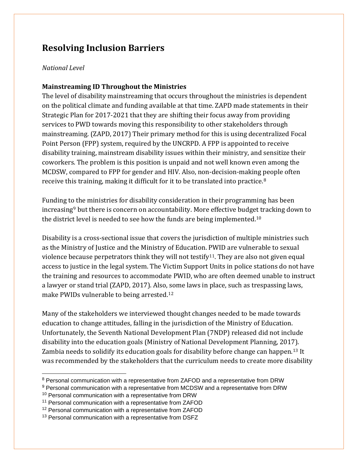# **Resolving Inclusion Barriers**

#### *National Level*

### **Mainstreaming ID Throughout the Ministries**

The level of disability mainstreaming that occurs throughout the ministries is dependent on the political climate and funding available at that time. ZAPD made statements in their Strategic Plan for 2017-2021 that they are shifting their focus away from providing services to PWD towards moving this responsibility to other stakeholders through mainstreaming. (ZAPD, 2017) Their primary method for this is using decentralized Focal Point Person (FPP) system, required by the UNCRPD. A FPP is appointed to receive disability training, mainstream disability issues within their ministry, and sensitize their coworkers. The problem is this position is unpaid and not well known even among the MCDSW, compared to FPP for gender and HIV. Also, non-decision-making [p](#page-12-0)eople often receive this training, making it difficult for it to be translated into practice. 8

Funding to the ministries for disability consideration in their programming has been increasing[9](#page-12-1) but there is concern on accountability. More effective budge[t t](#page-12-2)racking down to the district level is needed to see how the funds are being implemented. $^{10}$ 

Disability is a cross-sectional issue that covers the jurisdiction of multiple ministries such as the Ministry of Justice and the Ministry of Education. PWID are vulnerable to sexual violence because perpetrators think they will not testify<sup>[11](#page-12-3)</sup>. They are also not given equal access to justice in the legal system. The Victim Support Units in police stations do not have the training and resources to accommodate PWID, who are often deemed unable to instruct a lawyer or stand trial (ZAPD, 2017). Also, [so](#page-12-4)me laws in place, such as trespassing laws, make PWIDs vulnerable to being arrested. 12

Many of the stakeholders we interviewed thought changes needed to be made towards education to change attitudes, falling in the jurisdiction of the Ministry of Education. Unfortunately, the Seventh National Development Plan (7NDP) released did not include disability into the education goals (Ministry of National Development Planning, 201[7\).](#page-12-5) Zambia needs to solidify its education goals for disability before change can happen. <sup>13</sup> It was recommended by the stakeholders that the curriculum needs to create more disability

<span id="page-12-1"></span><sup>9</sup> Personal communication with a representative from MCDSW and a representative from DRW

<span id="page-12-0"></span><sup>&</sup>lt;sup>8</sup> Personal communication with a representative from ZAFOD and a representative from DRW

<span id="page-12-2"></span><sup>&</sup>lt;sup>10</sup> Personal communication with a representative from DRW

<span id="page-12-3"></span><sup>11</sup> Personal communication with a representative from ZAFOD

<span id="page-12-4"></span><sup>12</sup> Personal communication with a representative from ZAFOD

<span id="page-12-5"></span><sup>&</sup>lt;sup>13</sup> Personal communication with a representative from DSFZ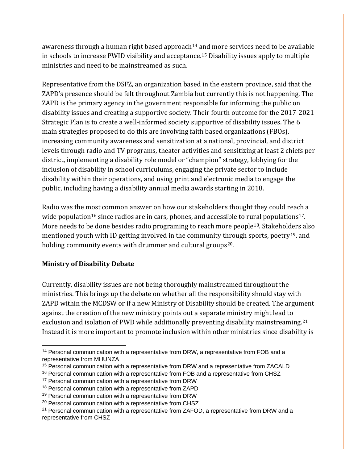awareness through a human right based approach<sup>[14](#page-13-0)</sup> [and](#page-13-1) more services need to be available in schools to increase PWID visibility and acceptance. <sup>15</sup> Disability issues apply to multiple ministries and need to be mainstreamed as such.

Representative from the DSFZ, an organization based in the eastern province, said that the ZAPD's presence should be felt throughout Zambia but currently this is not happening. The ZAPD is the primary agency in the government responsible for informing the public on disability issues and creating a supportive society. Their fourth outcome for the 2017-2021 Strategic Plan is to create a well-informed society supportive of disability issues. The 6 main strategies proposed to do this are involving faith based organizations (FBOs), increasing community awareness and sensitization at a national, provincial, and district levels through radio and TV programs, theater activities and sensitizing at least 2 chiefs per district, implementing a disability role model or "champion" strategy, lobbying for the inclusion of disability in school curriculums, engaging the private sector to include disability within their operations, and using print and electronic media to engage the public, including having a disability annual media awards starting in 2018.

Radio was the most common answer on how our stakeholders thought they could reach a wide population<sup>[16](#page-13-2)</sup> since radios are in cars, phones, and accessible to rural populations<sup>[17](#page-13-3)</sup>. More needs to be done besides radio programing to reach more people[18](#page-13-4). Stakeholders also mentioned youth with ID getting involved in the community t[hro](#page-13-6)ugh sports, poetry<sup>19</sup>, and holding community events with drummer and cultural groups<sup>20</sup>.

## **Ministry of Disability Debate**

Currently, disability issues are not being thoroughly mainstreamed throughout the ministries. This brings up the debate on whether all the responsibility should stay with ZAPD within the MCDSW or if a new Ministry of Disability should be created. The argument against the creation of the new ministry points out a separate ministry might lead to exclusion and isolation of PWD while additionally preventing disability mainstreaming. [21](#page-13-7) Instead it is more important to promote inclusion within other ministries since disability is

<span id="page-13-0"></span><sup>&</sup>lt;sup>14</sup> Personal communication with a representative from DRW, a representative from FOB and a representative from MHUNZA

<span id="page-13-1"></span><sup>&</sup>lt;sup>15</sup> Personal communication with a representative from DRW and a representative from ZACALD

<span id="page-13-2"></span><sup>&</sup>lt;sup>16</sup> Personal communication with a representative from FOB and a representative from CHSZ

<span id="page-13-3"></span><sup>&</sup>lt;sup>17</sup> Personal communication with a representative from DRW

<span id="page-13-4"></span><sup>&</sup>lt;sup>18</sup> Personal communication with a representative from ZAPD

<span id="page-13-5"></span><sup>&</sup>lt;sup>19</sup> Personal communication with a representative from DRW

<span id="page-13-6"></span><sup>&</sup>lt;sup>20</sup> Personal communication with a representative from CHSZ

<span id="page-13-7"></span><sup>&</sup>lt;sup>21</sup> Personal communication with a representative from ZAFOD, a representative from DRW and a representative from CHSZ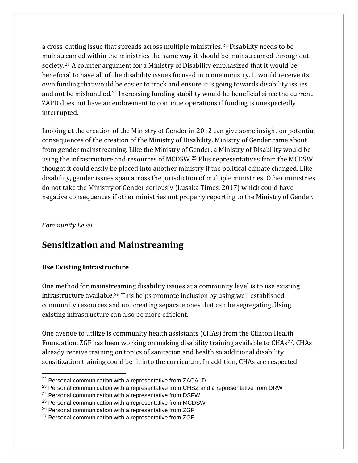a cross-cutting issue that spreads across multiple ministries. [22](#page-14-0) Disability needs to be mainst[rea](#page-14-1)med within the ministries the same way it should be mainstreamed throughout society. <sup>23</sup> A counter argument for a Ministry of Disability emphasized that it would be beneficial to have all of the disability issues focused into one ministry. It would receive its own funding that would be easier to track and ensure it is going towards disability issues and not be mishandled.<sup>[24](#page-14-2)</sup> Increasing funding stability would be beneficial since the current ZAPD does not have an endowment to continue operations if funding is unexpectedly interrupted.

Looking at the creation of the Ministry of Gender in 2012 can give some insight on potential consequences of the creation of the Ministry of Disability. Ministry of Gender came about from gender mainstreaming. Like the Ministry of Gender, a Ministry of Disability would be using the infrastructure and resources of MCDSW.[25](#page-14-3) Plus representatives from the MCDSW thought it could easily be placed into another ministry if the political climate changed. Like disability, gender issues span across the jurisdiction of multiple ministries. Other ministries do not take the Ministry of Gender seriously (Lusaka Times, 2017) which could have negative consequences if other ministries not properly reporting to the Ministry of Gender.

#### *Community Level*

# **Sensitization and Mainstreaming**

## **Use Existing Infrastructure**

One method for mainstreaming disability issues at a community level is to use existing infrastructure available.[26](#page-14-4) This helps promote inclusion by using well established community resources and not creating separate ones that can be segregating. Using existing infrastructure can also be more efficient.

One avenue to utilize is community health assistants (CHAs) from the Clinton Health Foundation. ZGF has been working on making disability training available to CHAs<sup>[27](#page-14-5)</sup>. CHAs already receive training on topics of sanitation and health so additional disability sensitization training could be fit into the curriculum. In addition, CHAs are respected

<span id="page-14-0"></span><sup>&</sup>lt;sup>22</sup> Personal communication with a representative from ZACALD

<span id="page-14-1"></span><sup>&</sup>lt;sup>23</sup> Personal communication with a representative from CHSZ and a representative from DRW

<span id="page-14-2"></span><sup>&</sup>lt;sup>24</sup> Personal communication with a representative from DSFW

<span id="page-14-3"></span><sup>&</sup>lt;sup>25</sup> Personal communication with a representative from MCDSW

<span id="page-14-4"></span><sup>26</sup> Personal communication with a representative from ZGF

<span id="page-14-5"></span><sup>&</sup>lt;sup>27</sup> Personal communication with a representative from ZGF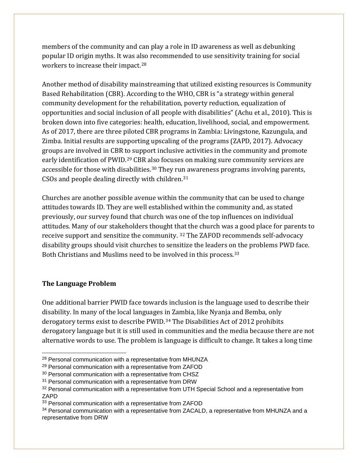members of the community and can play a role in ID awareness as well as debunking popular ID origin myths. It was a[lso](#page-15-0) recommended to use sensitivity training for social workers to increase their impact. 28

Another method of disability mainstreaming that utilized existing resources is Community Based Rehabilitation (CBR). According to the WHO, CBR is "a strategy within general community development for the rehabilitation, poverty reduction, equalization of opportunities and social inclusion of all people with disabilities" (Achu et al., 2010). This is broken down into five categories: health, education, livelihood, social, and empowerment. As of 2017, there are three piloted CBR programs in Zambia: Livingstone, Kazungula, and Zimba. Initial results are supporting upscaling of the programs (ZAPD, 2017). Advocacy groups are involved in CBR [to](#page-15-1) support inclusive activities in the community and promote early identification of PWID.<sup>29</sup> CBR a[lso](#page-15-2) focuses on making sure community services are accessible for those with disabilities.<sup>30</sup> They ru[n a](#page-15-3)wareness programs involving parents, CSOs and people dealing directly with children. 31

Churches are another possible avenue within the community that can be used to change attitudes towards ID. They are well established within the community and, as stated previously, our survey found that church was one of the top influences on individual attitudes. Many of our stakeholders thought that the church was a good place for parents to receive support and sensitize the community. [32](#page-15-4) The ZAFOD recommends self-advocacy disability groups should visit churches to sensitize the leaders o[n t](#page-15-5)he problems PWD face. Both Christians and Muslims need to be involved in this process.<sup>33</sup>

#### **The Language Problem**

One additional barrier PWID face towards inclusion is the language used to describe their disability. In many of the local languages in Zambia, like Nyanja and Bemba, only derogatory terms exist to describe PWID.[34](#page-15-6) The Disabilities Act of 2012 prohibits derogatory language but it is still used in communities and the media because there are not alternative words to use. The problem is language is difficult to change. It takes a long time

<span id="page-15-0"></span><sup>&</sup>lt;sup>28</sup> Personal communication with a representative from MHUNZA

<span id="page-15-1"></span><sup>29</sup> Personal communication with a representative from ZAFOD

<span id="page-15-2"></span><sup>&</sup>lt;sup>30</sup> Personal communication with a representative from CHSZ

<span id="page-15-3"></span><sup>&</sup>lt;sup>31</sup> Personal communication with a representative from DRW

<span id="page-15-4"></span><sup>&</sup>lt;sup>32</sup> Personal communication with a representative from UTH Special School and a representative from ZAPD

<span id="page-15-5"></span><sup>33</sup> Personal communication with a representative from ZAFOD

<span id="page-15-6"></span><sup>&</sup>lt;sup>34</sup> Personal communication with a representative from ZACALD, a representative from MHUNZA and a representative from DRW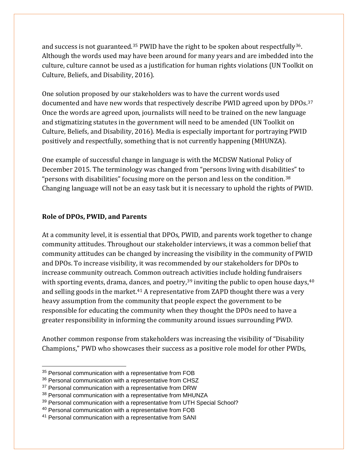and success is not guaranteed.<sup>[35](#page-16-0)</sup> PWID have the right to be spoken about respectfully<sup>36</sup>. Although the words used may have been around for many years and are imbedded into the culture, culture cannot be used as a justification for human rights violations (UN Toolkit on Culture, Beliefs, and Disability, 2016).

One solution proposed by our stakeholders was to have the current words used documented and have new words that respectively describe PWID agreed upon by DPOs. [37](#page-16-2) Once the words are agreed upon, journalists will need to be trained on the new language and stigmatizing statutes in the government will need to be amended (UN Toolkit on Culture, Beliefs, and Disability, 2016). Media is especially important for portraying PWID positively and respectfully, something that is not currently happening (MHUNZA).

One example of successful change in language is with the MCDSW National Policy of December 2015. The terminology was changed from "persons living with disabili[tie](#page-16-3)s" to "persons with disabilities" focusing more on the person and less on the condition. 38 Changing language will not be an easy task but it is necessary to uphold the rights of PWID.

#### **Role of DPOs, PWID, and Parents**

At a community level, it is essential that DPOs, PWID, and parents work together to change community attitudes. Throughout our stakeholder interviews, it was a common belief that community attitudes can be changed by increasing the visibility in the community of PWID and DPOs. To increase visibility, it was recommended by our stakeholders for DPOs to increase community outreach. Common outreac[h a](#page-16-4)ctivities include holding fundraisers with sporting events, drama, da[nc](#page-16-6)es, and poetry, $^{\rm 39}$  inviting the public to open house days, $^{\rm 40}$  $^{\rm 40}$  $^{\rm 40}$ and selling goods in the market. <sup>41</sup> A representative from ZAPD thought there was a very heavy assumption from the community that people expect the government to be responsible for educating the community when they thought the DPOs need to have a greater responsibility in informing the community around issues surrounding PWD.

Another common response from stakeholders was increasing the visibility of "Disability Champions," PWD who showcases their success as a positive role model for other PWDs,

<span id="page-16-0"></span><sup>35</sup> Personal communication with a representative from FOB

<span id="page-16-1"></span><sup>&</sup>lt;sup>36</sup> Personal communication with a representative from CHSZ

<span id="page-16-2"></span><sup>&</sup>lt;sup>37</sup> Personal communication with a representative from DRW

<span id="page-16-3"></span><sup>&</sup>lt;sup>38</sup> Personal communication with a representative from MHUNZA

<span id="page-16-4"></span><sup>&</sup>lt;sup>39</sup> Personal communication with a representative from UTH Special School?

<span id="page-16-5"></span><sup>40</sup> Personal communication with a representative from FOB

<span id="page-16-6"></span><sup>41</sup> Personal communication with a representative from SANI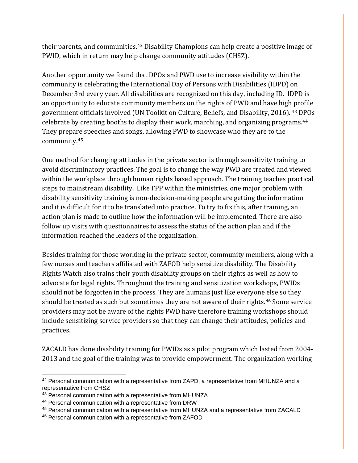their parents, and communities.<sup>[42](#page-17-0)</sup> Disability Champions can help create a positive image of PWID, which in return may help change community attitudes (CHSZ).

Another opportunity we found that DPOs and PWD use to increase visibility within the community is celebrating the International Day of Persons with Disabilities (IDPD) on December 3rd every year. All disabilities are recognized on this day, including ID. IDPD is an opportunity to educate community members on the rights of PWD and have hig[h p](#page-17-1)rofile government officials involved (UN Toolkit on Culture, Beliefs, and Disability, 2016). <sup>43</sup> [DPO](#page-17-2)s celebrate by creating booths to display their work, marching, and organizing programs. 44 They prepa[re](#page-17-3) speeches and songs, allowing PWD to showcase who they are to the community. 45

One method for changing attitudes in the private sector is through sensitivity training to avoid discriminatory practices. The goal is to change the way PWD are treated and viewed within the workplace through human rights based approach. The training teaches practical steps to mainstream disability. Like FPP within the ministries, one major problem with disability sensitivity training is non-decision-making people are getting the information and it is difficult for it to be translated into practice. To try to fix this, after training, an action plan is made to outline how the information will be implemented. There are also follow up visits with questionnaires to assess the status of the action plan and if the information reached the leaders of the organization.

Besides training for those working in the private sector, community members, along with a few nurses and teachers affiliated with ZAFOD help sensitize disability. The Disability Rights Watch also trains their youth disability groups on their rights as well as how to advocate for legal rights. Throughout the training and sensitization workshops, PWIDs should not be forgotten in the process. They are humans just like everyone [el](#page-17-4)se so they should be treated as such but sometimes they are not aware of their rights. <sup>46</sup> Some service providers may not be aware of the rights PWD have therefore training workshops should include sensitizing service providers so that they can change their attitudes, policies and practices.

ZACALD has done disability training for PWIDs as a pilot program which lasted from 2004- 2013 and the goal of the training was to provide empowerment. The organization working

<span id="page-17-0"></span><sup>42</sup> Personal communication with a representative from ZAPD, a representative from MHUNZA and a representative from CHSZ

<span id="page-17-1"></span><sup>&</sup>lt;sup>43</sup> Personal communication with a representative from MHUNZA

<span id="page-17-2"></span><sup>44</sup> Personal communication with a representative from DRW

<span id="page-17-3"></span><sup>45</sup> Personal communication with a representative from MHUNZA and a representative from ZACALD

<span id="page-17-4"></span><sup>46</sup> Personal communication with a representative from ZAFOD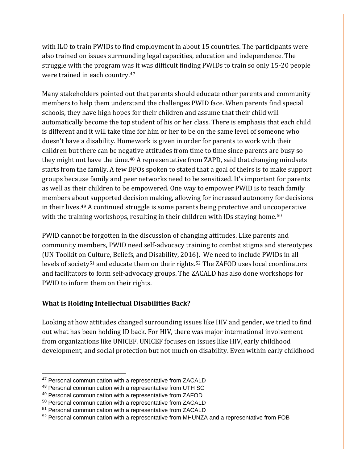with ILO to train PWIDs to find employment in about 15 countries. The participants were also trained on issues surrounding legal capacities, education and independence. The struggle with the program w[as i](#page-18-0)t was difficult finding PWIDs to train so only 15-20 people were trained in each country. 47

Many stakeholders pointed out that parents should educate other parents and community members to help them understand the challenges PWID face. When parents find special schools, they have high hopes for their children and assume that their child will automatically become the top student of his or her class. There is emphasis that each child is different and it will take time for him or her to be on the same level of someone who doesn't have a disability. Homework is given in order for parents to work with their children but there can be neg[at](#page-18-1)ive attitudes from time to time since parents are busy so they might not have the time. <sup>48</sup> A representative from ZAPD, said that changing mindsets starts from the family. A few DPOs spoken to stated that a goal of theirs is to make support groups because family and peer networks need to be sensitized. It's important for parents as well as their children to be empowered. One way to empower PWID is to teach family members ab[ou](#page-18-2)t supported decision making, allowing for increased autonomy for decisions in their lives. <sup>49</sup> A continued struggle is some parents being protective and unc[oop](#page-18-3)erative with the training workshops, resulting in their children with IDs staying home. $^{\rm 50}$ 

PWID cannot be forgotten in the discussion of changing attitudes. Like parents and community members, PWID need self-advocacy training to combat stigma and stereotypes (UN Toolkit on Culture, Beliefs, and Disability, 201[6\).](#page-18-5) We need to include PWIDs in all levels of society<sup>[51](#page-18-4)</sup> and educate them on their rights.<sup>52</sup> The ZAFOD uses local coordinators and facilitators to form self-advocacy groups. The ZACALD has also done workshops for PWID to inform them on their rights.

## **What is Holding Intellectual Disabilities Back?**

Looking at how attitudes changed surrounding issues like HIV and gender, we tried to find out what has been holding ID back. For HIV, there was major international involvement from organizations like UNICEF. UNICEF focuses on issues like HIV, early childhood development, and social protection but not much on disability. Even within early childhood

<span id="page-18-0"></span><sup>&</sup>lt;sup>47</sup> Personal communication with a representative from ZACALD

<span id="page-18-1"></span><sup>48</sup> Personal communication with a representative from UTH SC

<span id="page-18-2"></span><sup>49</sup> Personal communication with a representative from ZAFOD

<span id="page-18-3"></span><sup>50</sup> Personal communication with a representative from ZACALD

<span id="page-18-4"></span><sup>51</sup> Personal communication with a representative from ZACALD

<span id="page-18-5"></span><sup>&</sup>lt;sup>52</sup> Personal communication with a representative from MHUNZA and a representative from FOB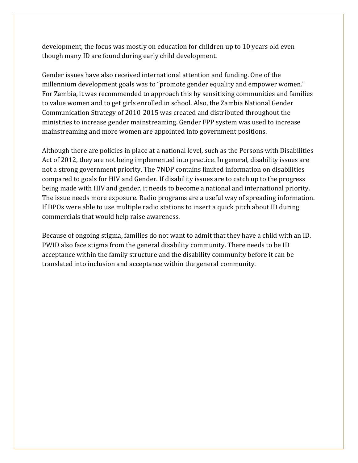development, the focus was mostly on education for children up to 10 years old even though many ID are found during early child development.

Gender issues have also received international attention and funding. One of the millennium development goals was to "promote gender equality and empower women." For Zambia, it was recommended to approach this by sensitizing communities and families to value women and to get girls enrolled in school. Also, the Zambia National Gender Communication Strategy of 2010-2015 was created and distributed throughout the ministries to increase gender mainstreaming. Gender FPP system was used to increase mainstreaming and more women are appointed into government positions.

Although there are policies in place at a national level, such as the Persons with Disabilities Act of 2012, they are not being implemented into practice. In general, disability issues are not a strong government priority. The 7NDP contains limited information on disabilities compared to goals for HIV and Gender. If disability issues are to catch up to the progress being made with HIV and gender, it needs to become a national and international priority. The issue needs more exposure. Radio programs are a useful way of spreading information. If DPOs were able to use multiple radio stations to insert a quick pitch about ID during commercials that would help raise awareness.

Because of ongoing stigma, families do not want to admit that they have a child with an ID. PWID also face stigma from the general disability community. There needs to be ID acceptance within the family structure and the disability community before it can be translated into inclusion and acceptance within the general community.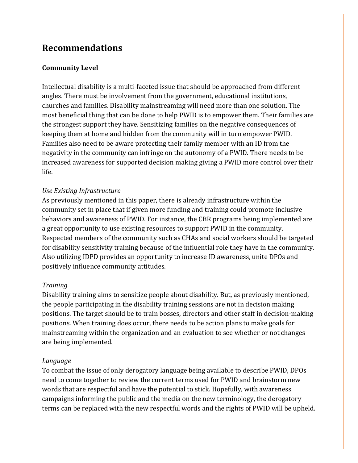# **Recommendations**

### **Community Level**

Intellectual disability is a multi-faceted issue that should be approached from different angles. There must be involvement from the government, educational institutions, churches and families. Disability mainstreaming will need more than one solution. The most beneficial thing that can be done to help PWID is to empower them. Their families are the strongest support they have. Sensitizing families on the negative consequences of keeping them at home and hidden from the community will in turn empower PWID. Families also need to be aware protecting their family member with an ID from the negativity in the community can infringe on the autonomy of a PWID. There needs to be increased awareness for supported decision making giving a PWID more control over their life.

#### *Use Existing Infrastructure*

As previously mentioned in this paper, there is already infrastructure within the community set in place that if given more funding and training could promote inclusive behaviors and awareness of PWID. For instance, the CBR programs being implemented are a great opportunity to use existing resources to support PWID in the community. Respected members of the community such as CHAs and social workers should be targeted for disability sensitivity training because of the influential role they have in the community. Also utilizing IDPD provides an opportunity to increase ID awareness, unite DPOs and positively influence community attitudes.

#### *Training*

Disability training aims to sensitize people about disability. But, as previously mentioned, the people participating in the disability training sessions are not in decision making positions. The target should be to train bosses, directors and other staff in decision-making positions. When training does occur, there needs to be action plans to make goals for mainstreaming within the organization and an evaluation to see whether or not changes are being implemented.

#### *Language*

To combat the issue of only derogatory language being available to describe PWID, DPOs need to come together to review the current terms used for PWID and brainstorm new words that are respectful and have the potential to stick. Hopefully, with awareness campaigns informing the public and the media on the new terminology, the derogatory terms can be replaced with the new respectful words and the rights of PWID will be upheld.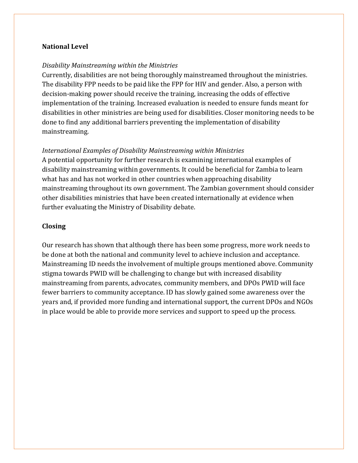#### **National Level**

### *Disability Mainstreaming within the Ministries*

Currently, disabilities are not being thoroughly mainstreamed throughout the ministries. The disability FPP needs to be paid like the FPP for HIV and gender. Also, a person with decision-making power should receive the training, increasing the odds of effective implementation of the training. Increased evaluation is needed to ensure funds meant for disabilities in other ministries are being used for disabilities. Closer monitoring needs to be done to find any additional barriers preventing the implementation of disability mainstreaming.

### *International Examples of Disability Mainstreaming within Ministries*

A potential opportunity for further research is examining international examples of disability mainstreaming within governments. It could be beneficial for Zambia to learn what has and has not worked in other countries when approaching disability mainstreaming throughout its own government. The Zambian government should consider other disabilities ministries that have been created internationally at evidence when further evaluating the Ministry of Disability debate.

### **Closing**

Our research has shown that although there has been some progress, more work needs to be done at both the national and community level to achieve inclusion and acceptance. Mainstreaming ID needs the involvement of multiple groups mentioned above. Community stigma towards PWID will be challenging to change but with increased disability mainstreaming from parents, advocates, community members, and DPOs PWID will face fewer barriers to community acceptance. ID has slowly gained some awareness over the years and, if provided more funding and international support, the current DPOs and NGOs in place would be able to provide more services and support to speed up the process.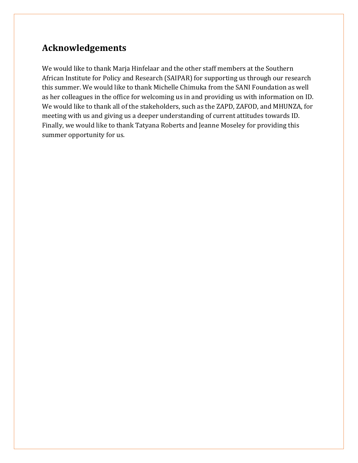# **Acknowledgements**

We would like to thank Marja Hinfelaar and the other staff members at the Southern African Institute for Policy and Research (SAIPAR) for supporting us through our research this summer. We would like to thank Michelle Chimuka from the SANI Foundation as well as her colleagues in the office for welcoming us in and providing us with information on ID. We would like to thank all of the stakeholders, such as the ZAPD, ZAFOD, and MHUNZA, for meeting with us and giving us a deeper understanding of current attitudes towards ID. Finally, we would like to thank Tatyana Roberts and Jeanne Moseley for providing this summer opportunity for us.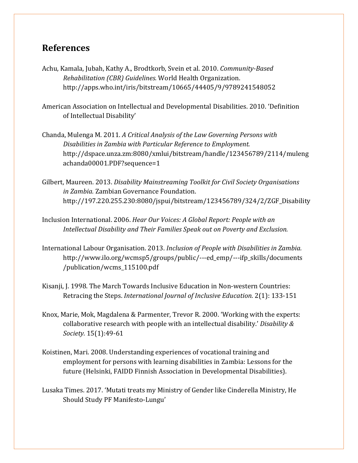## **References**

- Achu, Kamala, Jubah, Kathy A., Brodtkorb, Svein et al. 2010. *Community-Based Rehabilitation (CBR) Guidelines.* World Health Organization. http://apps.who.int/iris/bitstream/10665/44405/9/9789241548052
- American Association on Intellectual and Developmental Disabilities. 2010. 'Definition of Intellectual Disability'
- Chanda, Mulenga M. 2011. *A Critical Analysis of the Law Governing Persons with Disabilities in Zambia with Particular Reference to Employment.* [http://dspace.unza.zm:8080/xmlui/bitstream/handle/123456789/2114/muleng](http://dspace.unza.zm:8080/xmlui/bitstream/handle/123456789/2114/mulengachanda00001.PDF?sequence=1) [achanda00001.PDF?sequence=1](http://dspace.unza.zm:8080/xmlui/bitstream/handle/123456789/2114/mulengachanda00001.PDF?sequence=1)
- Gilbert, Maureen. 2013. *Disability Mainstreaming Toolkit for Civil Society Organisations in Zambia.* Zambian Governance Foundation. [http://197.220.255.230:8080/jspui/bitstream/123456789/324/2/ZGF\\_Disability](http://197.220.255.230:8080/jspui/bitstream/123456789/324/2/ZGF_Disability%20mainstreaming%20toolkit_2013.pdf)
- Inclusion International. 2006. *Hear Our Voices: A Global Report: People with an Intellectual Disability and Their Families Speak out on Poverty and Exclusion.*
- International Labour Organisation. 2013. *Inclusion of People with Disabilities in Zambia.* [http://www.ilo.org/wcmsp5/groups/public/---ed\\_emp/---ifp\\_skills/documents](http://www.ilo.org/wcmsp5/groups/public/---ed_emp/---ifp_skills/documents/publication/wcms_115100.pdf) [/publication/wcms\\_115100.pdf](http://www.ilo.org/wcmsp5/groups/public/---ed_emp/---ifp_skills/documents/publication/wcms_115100.pdf)
- Kisanji, J. 1998. The March Towards Inclusive Education in Non-western Countries: Retracing the Steps. *International Journal of Inclusive Education.* 2(1): 133-151
- Knox, Marie, Mok, Magdalena & Parmenter, Trevor R. 2000. 'Working with the experts: collaborative research with people with an intellectual disability.' *Disability & Society.* 15(1):49-61
- Koistinen, Mari. 2008. Understanding experiences of vocational training and employment for persons with learning disabilities in Zambia: Lessons for the future (Helsinki, FAIDD Finnish Association in Developmental Disabilities).
- Lusaka Times. 2017. 'Mutati treats my Ministry of Gender like Cinderella Ministry, He Should Study PF Manifesto-Lungu'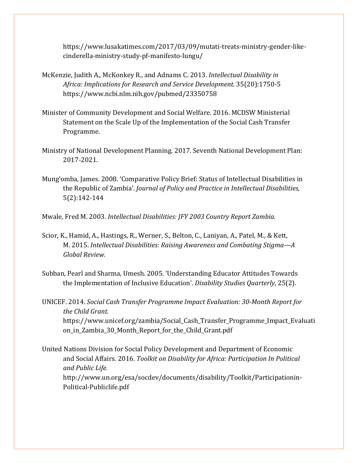[https://www.lusakatimes.com/2017/03/09/mutati-treats-ministry-gender-like](https://www.lusakatimes.com/2017/03/09/mutati-treats-ministry-gender-like-cinderella-ministry-study-pf-manifesto-lungu/)[cinderella-ministry-study-pf-manifesto-lungu/](https://www.lusakatimes.com/2017/03/09/mutati-treats-ministry-gender-like-cinderella-ministry-study-pf-manifesto-lungu/)

- McKenzie, Judith A., McKonkey R., and Adnams C. 2013. *Intellectual Disability in Africa: Implications for Research and Service Development.* 35(20):1750-5 <https://www.ncbi.nlm.nih.gov/pubmed/23350758>
- Minister of Community Development and Social Welfare. 2016. MCDSW Ministerial Statement on the Scale Up of the Implementation of the Social Cash Transfer Programme.
- Ministry of National Development Planning. 2017. Seventh National Development Plan: 2017-2021.
- Mung'omba, James. 2008. 'Comparative Policy Brief: Status of Intellectual Disabilities in the Republic of Zambia'. *Journal of Policy and Practice in Intellectual Disabilities,*  5(2):142-144
- Mwale, Fred M. 2003. *Intellectual Disabilities: JFY 2003 Country Report Zambia.*
- Scior, K., Hamid, A., Hastings, R., Werner, S., Belton, C., Laniyan, A., Patel, M., & Kett, M. 2015. *Intellectual Disabilities: Raising Awareness and Combating Stigma—A Global Review.*
- Subban, Pearl and Sharma, Umesh. 2005. 'Understanding Educator Attitudes Towards the Implementation of Inclusive Education'. *Disability Studies Quarterly*, 25(2).
- UNICEF. 2014. *Social Cash Transfer Programme Impact Evaluation: 30-Month Report for the Child Grant.* [https://www.unicef.org/zambia/Social\\_Cash\\_Transfer\\_Programme\\_Impact\\_Evaluati](https://www.unicef.org/zambia/Social_Cash_Transfer_Programme_Impact_Evaluation_in_Zambia_30_Month_Report_for_the_Child_Grant.pdf) [on\\_in\\_Zambia\\_30\\_Month\\_Report\\_for\\_the\\_Child\\_Grant.pdf](https://www.unicef.org/zambia/Social_Cash_Transfer_Programme_Impact_Evaluation_in_Zambia_30_Month_Report_for_the_Child_Grant.pdf)
- United Nations Division for Social Policy Development and Department of Economic and Social Affairs. 2016. *Toolkit on Disability for Africa: Participation In Political and Public Life.*  [http://www.un.org/esa/socdev/documents/disability/Toolkit/Participationin-](http://www.un.org/esa/socdev/documents/disability/Toolkit/Participationin-Political-Publiclife.pdf)[Political-Publiclife.pdf](http://www.un.org/esa/socdev/documents/disability/Toolkit/Participationin-Political-Publiclife.pdf)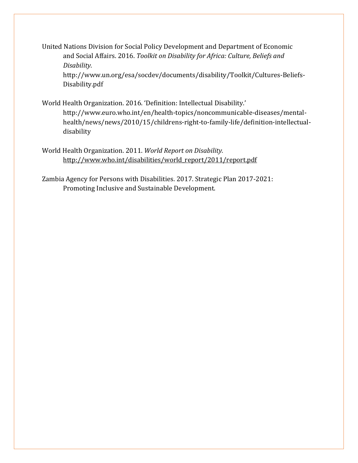United Nations Division for Social Policy Development and Department of Economic and Social Affairs. 2016. *Toolkit on Disability for Africa: Culture, Beliefs and Disability.*

[http://www.un.org/esa/socdev/documents/disability/Toolkit/Cultures-Beliefs-](http://www.un.org/esa/socdev/documents/disability/Toolkit/Cultures-Beliefs-Disability.pdf)[Disability.pdf](http://www.un.org/esa/socdev/documents/disability/Toolkit/Cultures-Beliefs-Disability.pdf)

- World Health Organization. 2016. 'Definition: Intellectual Disability.' [http://www.euro.who.int/en/health-topics/noncommunicable-diseases/mental](http://www.euro.who.int/en/health-topics/noncommunicable-diseases/mental-health/news/news/2010/15/childrens-right-to-family-life/definition-intellectual-disability)[health/news/news/2010/15/childrens-right-to-family-life/definition-intellectual](http://www.euro.who.int/en/health-topics/noncommunicable-diseases/mental-health/news/news/2010/15/childrens-right-to-family-life/definition-intellectual-disability)[disability](http://www.euro.who.int/en/health-topics/noncommunicable-diseases/mental-health/news/news/2010/15/childrens-right-to-family-life/definition-intellectual-disability)
- World Health Organization. 2011. *World Report on Disability.*  [http://www.who.int/disabilities/world\\_report/2011/report.pdf](http://www.who.int/disabilities/world_report/2011/report.pdf)
- Zambia Agency for Persons with Disabilities. 2017. Strategic Plan 2017-2021: Promoting Inclusive and Sustainable Development.